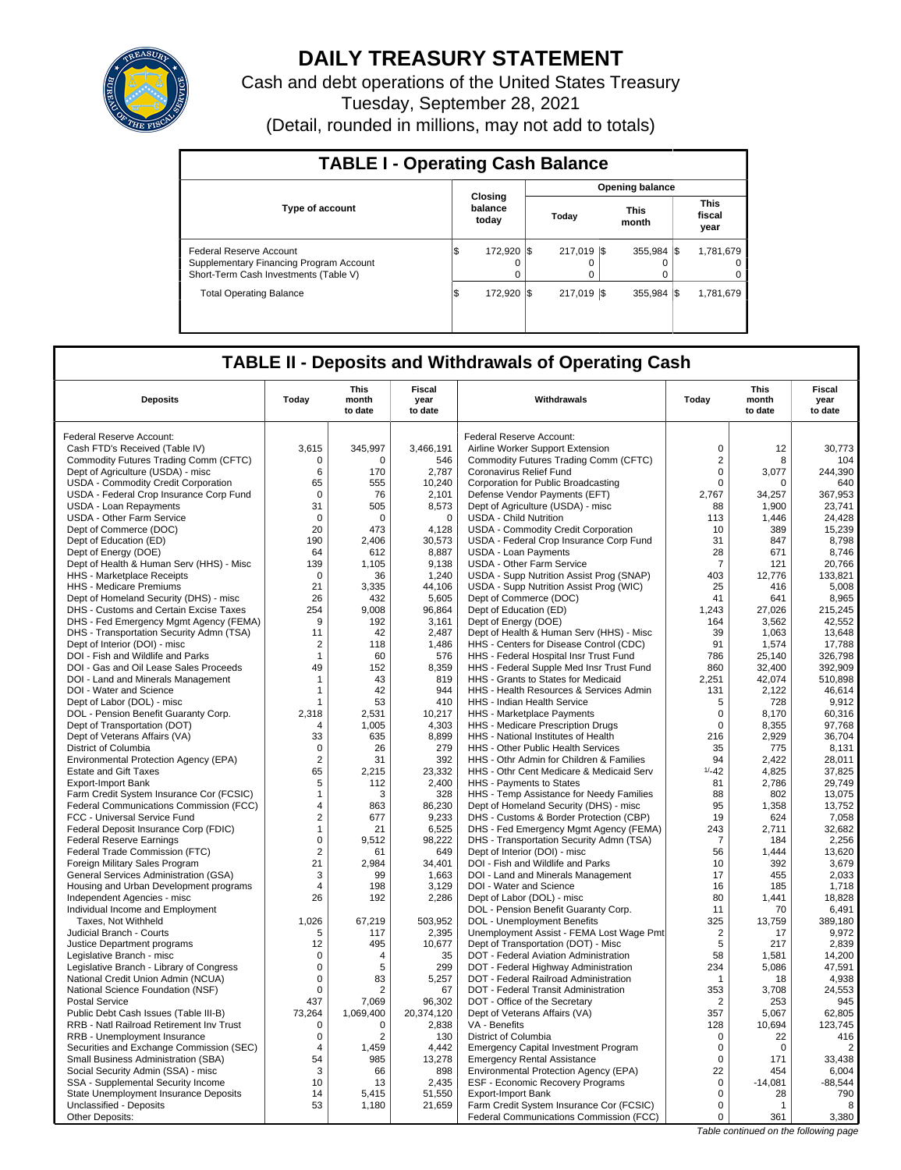

# **DAILY TREASURY STATEMENT**

Cash and debt operations of the United States Treasury Tuesday, September 28, 2021 (Detail, rounded in millions, may not add to totals)

| <b>TABLE I - Operating Cash Balance</b>                                                                     |                             |                        |                                 |                                   |  |  |  |  |  |  |
|-------------------------------------------------------------------------------------------------------------|-----------------------------|------------------------|---------------------------------|-----------------------------------|--|--|--|--|--|--|
|                                                                                                             |                             |                        | <b>Opening balance</b>          |                                   |  |  |  |  |  |  |
| <b>Type of account</b>                                                                                      | Closina<br>balance<br>today | Today                  | <b>This</b><br>month            | <b>This</b><br>fiscal<br>year     |  |  |  |  |  |  |
| Federal Reserve Account<br>Supplementary Financing Program Account<br>Short-Term Cash Investments (Table V) | 172.920 \\<br>1\$           | 217.019 \$<br>$\Omega$ | $355.984$ $\sqrt{\$}$<br>0<br>0 | 1,781,679<br>$\Omega$<br>$\Omega$ |  |  |  |  |  |  |
| <b>Total Operating Balance</b>                                                                              | 172.920 \\<br>1\$           | 217.019 \\$            | $355.984$ $\frac{1}{3}$         | 1,781,679                         |  |  |  |  |  |  |

## **TABLE II - Deposits and Withdrawals of Operating Cash**

| <b>Deposits</b>                                                       | Today               | This<br>month<br>to date | Fiscal<br>year<br>to date | Withdrawals                                                            | Todav          | This<br>month<br>to date | Fiscal<br>year<br>to date |
|-----------------------------------------------------------------------|---------------------|--------------------------|---------------------------|------------------------------------------------------------------------|----------------|--------------------------|---------------------------|
|                                                                       |                     |                          |                           |                                                                        |                |                          |                           |
| Federal Reserve Account:                                              |                     |                          |                           | Federal Reserve Account:                                               |                |                          |                           |
| Cash FTD's Received (Table IV)                                        | 3,615               | 345,997                  | 3,466,191                 | Airline Worker Support Extension                                       | $\mathbf 0$    | 12                       | 30,773                    |
| Commodity Futures Trading Comm (CFTC)                                 | 0                   | $\Omega$                 | 546                       | Commodity Futures Trading Comm (CFTC)                                  | $\overline{2}$ | 8                        | 104                       |
| Dept of Agriculture (USDA) - misc                                     | 6                   | 170                      | 2,787                     | Coronavirus Relief Fund                                                | $\mathsf 0$    | 3,077                    | 244,390                   |
| USDA - Commodity Credit Corporation                                   | 65                  | 555                      | 10.240                    | Corporation for Public Broadcasting                                    | 0              | $\Omega$                 | 640                       |
| USDA - Federal Crop Insurance Corp Fund                               | $\mathbf 0$         | 76                       | 2,101                     | Defense Vendor Payments (EFT)                                          | 2,767          | 34,257                   | 367,953                   |
| USDA - Loan Repayments                                                | 31                  | 505                      | 8,573                     | Dept of Agriculture (USDA) - misc                                      | 88             | 1,900                    | 23.741                    |
| <b>USDA - Other Farm Service</b>                                      | $\overline{0}$      | 0                        | $\mathbf 0$               | <b>USDA - Child Nutrition</b>                                          | 113            | 1,446                    | 24,428                    |
| Dept of Commerce (DOC)                                                | 20<br>190           | 473                      | 4,128<br>30,573           | USDA - Commodity Credit Corporation                                    | 10<br>31       | 389<br>847               | 15,239<br>8,798           |
| Dept of Education (ED)<br>Dept of Energy (DOE)                        | 64                  | 2,406<br>612             | 8,887                     | USDA - Federal Crop Insurance Corp Fund<br><b>USDA - Loan Payments</b> | 28             | 671                      | 8,746                     |
| Dept of Health & Human Serv (HHS) - Misc                              | 139                 | 1.105                    | 9.138                     | <b>USDA - Other Farm Service</b>                                       | $\overline{7}$ | 121                      | 20,766                    |
| HHS - Marketplace Receipts                                            | $\mathbf 0$         | 36                       | 1,240                     | USDA - Supp Nutrition Assist Prog (SNAP)                               | 403            | 12.776                   | 133,821                   |
| HHS - Medicare Premiums                                               | 21                  | 3,335                    | 44,106                    | USDA - Supp Nutrition Assist Prog (WIC)                                | 25             | 416                      | 5,008                     |
| Dept of Homeland Security (DHS) - misc                                | 26                  | 432                      | 5,605                     | Dept of Commerce (DOC)                                                 | 41             | 641                      | 8,965                     |
| DHS - Customs and Certain Excise Taxes                                | 254                 | 9,008                    | 96,864                    | Dept of Education (ED)                                                 | 1,243          | 27,026                   | 215,245                   |
| DHS - Fed Emergency Mgmt Agency (FEMA)                                | 9                   | 192                      | 3.161                     | Dept of Energy (DOE)                                                   | 164            | 3.562                    | 42.552                    |
| DHS - Transportation Security Admn (TSA)                              | 11                  | 42                       | 2,487                     | Dept of Health & Human Serv (HHS) - Misc                               | 39             | 1,063                    | 13,648                    |
| Dept of Interior (DOI) - misc                                         | 2                   | 118                      | 1.486                     | HHS - Centers for Disease Control (CDC)                                | 91             | 1.574                    | 17.788                    |
| DOI - Fish and Wildlife and Parks                                     | $\mathbf{1}$        | 60                       | 576                       | HHS - Federal Hospital Insr Trust Fund                                 | 786            | 25,140                   | 326,798                   |
| DOI - Gas and Oil Lease Sales Proceeds                                | 49                  | 152                      | 8.359                     | HHS - Federal Supple Med Insr Trust Fund                               | 860            | 32.400                   | 392.909                   |
| DOI - Land and Minerals Management                                    | $\mathbf{1}$        | 43                       | 819                       | HHS - Grants to States for Medicaid                                    | 2,251          | 42,074                   | 510,898                   |
| DOI - Water and Science                                               | $\mathbf{1}$        | 42                       | 944                       | HHS - Health Resources & Services Admin                                | 131            | 2,122                    | 46,614                    |
| Dept of Labor (DOL) - misc                                            | $\overline{1}$      | 53                       | 410                       | <b>HHS - Indian Health Service</b>                                     | 5              | 728                      | 9,912                     |
| DOL - Pension Benefit Guaranty Corp.                                  | 2,318               | 2,531                    | 10,217                    | HHS - Marketplace Payments                                             | $\mathbf 0$    | 8,170                    | 60,316                    |
| Dept of Transportation (DOT)                                          | $\overline{A}$      | 1,005                    | 4,303                     | HHS - Medicare Prescription Drugs                                      | $\mathbf 0$    | 8,355                    | 97,768                    |
| Dept of Veterans Affairs (VA)                                         | 33                  | 635                      | 8.899                     | HHS - National Institutes of Health                                    | 216            | 2,929                    | 36,704                    |
| District of Columbia                                                  | $\mathbf 0$         | 26                       | 279                       | HHS - Other Public Health Services                                     | 35             | 775                      | 8,131                     |
| Environmental Protection Agency (EPA)                                 | $\overline{2}$      | 31                       | 392                       | HHS - Othr Admin for Children & Families                               | 94             | 2,422                    | 28,011                    |
| <b>Estate and Gift Taxes</b>                                          | 65                  | 2,215                    | 23,332                    | HHS - Othr Cent Medicare & Medicaid Serv                               | $1/ -42$       | 4,825                    | 37,825                    |
| <b>Export-Import Bank</b>                                             | 5                   | 112                      | 2.400                     | <b>HHS</b> - Payments to States                                        | 81             | 2,786                    | 29.749                    |
| Farm Credit System Insurance Cor (FCSIC)                              | $\mathbf{1}$        | 3                        | 328                       | HHS - Temp Assistance for Needy Families                               | 88             | 802                      | 13,075                    |
| Federal Communications Commission (FCC)                               | 4                   | 863                      | 86,230                    | Dept of Homeland Security (DHS) - misc                                 | 95             | 1.358                    | 13.752                    |
| FCC - Universal Service Fund                                          | $\overline{2}$      | 677                      | 9,233                     | DHS - Customs & Border Protection (CBP)                                | 19             | 624                      | 7,058                     |
| Federal Deposit Insurance Corp (FDIC)                                 | $\mathbf{1}$        | 21                       | 6,525                     | DHS - Fed Emergency Mgmt Agency (FEMA)                                 | 243            | 2.711                    | 32.682                    |
| <b>Federal Reserve Earnings</b>                                       | $\pmb{0}$           | 9,512                    | 98,222                    | DHS - Transportation Security Admn (TSA)                               | 7              | 184                      | 2,256                     |
| Federal Trade Commission (FTC)                                        | $\overline{2}$      | 61                       | 649                       | Dept of Interior (DOI) - misc                                          | 56             | 1,444                    | 13,620                    |
| Foreign Military Sales Program                                        | 21                  | 2.984                    | 34.401                    | DOI - Fish and Wildlife and Parks                                      | 10             | 392                      | 3,679                     |
| General Services Administration (GSA)                                 | 3<br>$\overline{4}$ | 99<br>198                | 1,663<br>3,129            | DOI - Land and Minerals Management                                     | 17<br>16       | 455<br>185               | 2,033<br>1,718            |
| Housing and Urban Development programs<br>Independent Agencies - misc | 26                  | 192                      | 2,286                     | DOI - Water and Science<br>Dept of Labor (DOL) - misc                  | 80             | 1.441                    | 18,828                    |
| Individual Income and Employment                                      |                     |                          |                           | DOL - Pension Benefit Guaranty Corp.                                   | 11             | 70                       | 6,491                     |
| <b>Taxes. Not Withheld</b>                                            | 1.026               | 67,219                   | 503,952                   | DOL - Unemployment Benefits                                            | 325            | 13,759                   | 389.180                   |
| Judicial Branch - Courts                                              | 5                   | 117                      | 2,395                     | Unemployment Assist - FEMA Lost Wage Pmt                               | $\overline{2}$ | 17                       | 9,972                     |
| Justice Department programs                                           | 12                  | 495                      | 10.677                    | Dept of Transportation (DOT) - Misc                                    | 5              | 217                      | 2.839                     |
| Legislative Branch - misc                                             | $\mathsf 0$         | 4                        | 35                        | DOT - Federal Aviation Administration                                  | 58             | 1,581                    | 14,200                    |
| Legislative Branch - Library of Congress                              | $\Omega$            | 5                        | 299                       | DOT - Federal Highway Administration                                   | 234            | 5,086                    | 47,591                    |
| National Credit Union Admin (NCUA)                                    | $\mathsf 0$         | 83                       | 5,257                     | DOT - Federal Railroad Administration                                  | 1              | 18                       | 4,938                     |
| National Science Foundation (NSF)                                     | $\Omega$            | 2                        | 67                        | DOT - Federal Transit Administration                                   | 353            | 3,708                    | 24,553                    |
| <b>Postal Service</b>                                                 | 437                 | 7,069                    | 96,302                    | DOT - Office of the Secretary                                          | $\overline{2}$ | 253                      | 945                       |
| Public Debt Cash Issues (Table III-B)                                 | 73,264              | 1,069,400                | 20,374,120                | Dept of Veterans Affairs (VA)                                          | 357            | 5,067                    | 62,805                    |
| RRB - Natl Railroad Retirement Inv Trust                              | $\mathbf 0$         | $\mathbf 0$              | 2,838                     | VA - Benefits                                                          | 128            | 10,694                   | 123,745                   |
| RRB - Unemployment Insurance                                          | $\mathsf 0$         | $\overline{2}$           | 130                       | District of Columbia                                                   | $\mathbf 0$    | 22                       | 416                       |
| Securities and Exchange Commission (SEC)                              | $\overline{4}$      | 1,459                    | 4.442                     | <b>Emergency Capital Investment Program</b>                            | $\Omega$       | $\Omega$                 | $\overline{2}$            |
| Small Business Administration (SBA)                                   | 54                  | 985                      | 13,278                    | <b>Emergency Rental Assistance</b>                                     | $\mathbf 0$    | 171                      | 33,438                    |
| Social Security Admin (SSA) - misc                                    | 3                   | 66                       | 898                       | Environmental Protection Agency (EPA)                                  | 22             | 454                      | 6,004                     |
| SSA - Supplemental Security Income                                    | 10                  | 13                       | 2.435                     | ESF - Economic Recovery Programs                                       | $\mathbf 0$    | $-14.081$                | $-88.544$                 |
| State Unemployment Insurance Deposits                                 | 14                  | 5,415                    | 51,550                    | <b>Export-Import Bank</b>                                              | $\mathsf 0$    | 28                       | 790                       |
| Unclassified - Deposits                                               | 53                  | 1,180                    | 21,659                    | Farm Credit System Insurance Cor (FCSIC)                               | 0              | $\mathbf{1}$             | 8                         |
| Other Deposits:                                                       |                     |                          |                           | Federal Communications Commission (FCC)                                | 0              | 361                      | 3,380                     |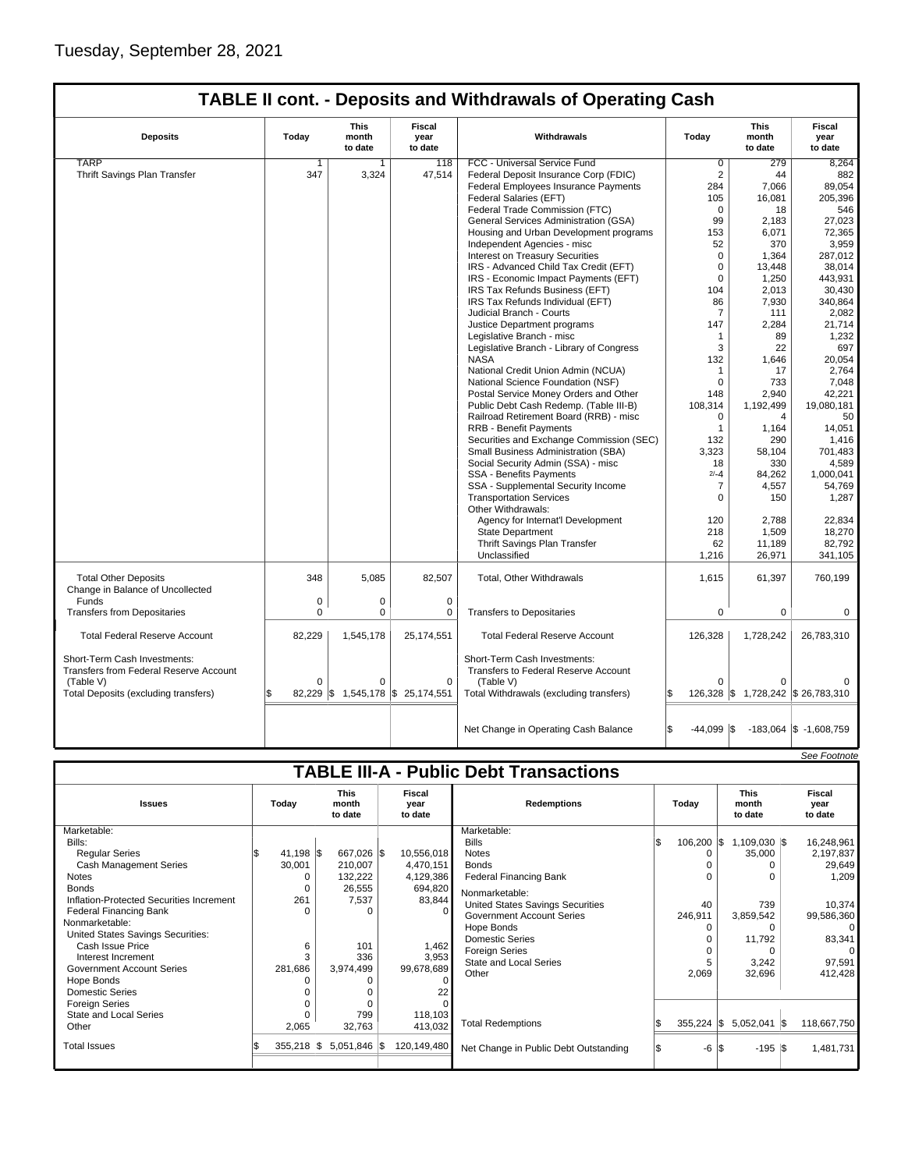## **TABLE II cont. - Deposits and Withdrawals of Operating Cash**

| <b>Deposits</b>                                                                                                             | Today    | <b>This</b><br>month<br>to date             | <b>Fiscal</b><br>year<br>to date | Withdrawals                                                                                                                  | Today          | <b>This</b><br>month<br>to date                | <b>Fiscal</b><br>year<br>to date           |  |
|-----------------------------------------------------------------------------------------------------------------------------|----------|---------------------------------------------|----------------------------------|------------------------------------------------------------------------------------------------------------------------------|----------------|------------------------------------------------|--------------------------------------------|--|
| <b>TARP</b>                                                                                                                 | 1        | $\mathbf{1}$                                | 118                              | FCC - Universal Service Fund                                                                                                 | $\overline{0}$ | 279                                            | 8,264                                      |  |
| Thrift Savings Plan Transfer                                                                                                | 347      | 3,324                                       | 47,514                           | Federal Deposit Insurance Corp (FDIC)                                                                                        | $\overline{2}$ | 44                                             | 882                                        |  |
|                                                                                                                             |          |                                             |                                  | Federal Employees Insurance Payments                                                                                         | 284            | 7,066                                          | 89,054                                     |  |
|                                                                                                                             |          |                                             |                                  | Federal Salaries (EFT)                                                                                                       | 105            | 16,081                                         | 205.396                                    |  |
|                                                                                                                             |          |                                             |                                  | Federal Trade Commission (FTC)                                                                                               | $\mathbf 0$    | 18                                             | 546                                        |  |
|                                                                                                                             |          |                                             |                                  | General Services Administration (GSA)                                                                                        | 99             | 2,183                                          | 27,023                                     |  |
|                                                                                                                             |          |                                             |                                  | Housing and Urban Development programs                                                                                       | 153            | 6,071                                          | 72,365                                     |  |
|                                                                                                                             |          |                                             |                                  | Independent Agencies - misc                                                                                                  | 52             | 370                                            | 3,959                                      |  |
|                                                                                                                             |          |                                             |                                  | <b>Interest on Treasury Securities</b>                                                                                       | $\mathbf 0$    | 1,364                                          | 287,012                                    |  |
|                                                                                                                             |          |                                             |                                  | IRS - Advanced Child Tax Credit (EFT)                                                                                        | $\mathbf 0$    | 13,448                                         | 38,014                                     |  |
|                                                                                                                             |          |                                             |                                  | IRS - Economic Impact Payments (EFT)                                                                                         | $\mathbf 0$    | 1,250                                          | 443,931                                    |  |
|                                                                                                                             |          |                                             |                                  | IRS Tax Refunds Business (EFT)                                                                                               | 104            | 2,013                                          | 30,430                                     |  |
|                                                                                                                             |          |                                             |                                  | IRS Tax Refunds Individual (EFT)                                                                                             | 86             | 7,930                                          | 340,864                                    |  |
|                                                                                                                             |          |                                             |                                  | Judicial Branch - Courts                                                                                                     | $\overline{7}$ | 111                                            | 2,082                                      |  |
|                                                                                                                             |          |                                             |                                  | Justice Department programs                                                                                                  | 147            | 2,284                                          | 21,714                                     |  |
|                                                                                                                             |          |                                             |                                  | Legislative Branch - misc                                                                                                    | $\mathbf{1}$   | 89                                             | 1,232                                      |  |
|                                                                                                                             |          |                                             |                                  | Legislative Branch - Library of Congress                                                                                     | 3              | 22                                             | 697                                        |  |
|                                                                                                                             |          |                                             |                                  | <b>NASA</b>                                                                                                                  | 132            | 1,646                                          | 20,054                                     |  |
|                                                                                                                             |          |                                             |                                  | National Credit Union Admin (NCUA)                                                                                           | $\mathbf{1}$   | 17                                             | 2,764                                      |  |
|                                                                                                                             |          |                                             |                                  | National Science Foundation (NSF)                                                                                            | $\Omega$       | 733                                            | 7,048                                      |  |
|                                                                                                                             |          |                                             |                                  | Postal Service Money Orders and Other                                                                                        | 148            | 2,940                                          | 42,221                                     |  |
|                                                                                                                             |          |                                             |                                  | Public Debt Cash Redemp. (Table III-B)                                                                                       | 108,314        | 1,192,499                                      | 19,080,181                                 |  |
|                                                                                                                             |          |                                             |                                  | Railroad Retirement Board (RRB) - misc                                                                                       | $\Omega$       | $\overline{4}$                                 | 50                                         |  |
|                                                                                                                             |          |                                             |                                  | <b>RRB - Benefit Payments</b>                                                                                                | $\mathbf{1}$   | 1,164                                          | 14,051                                     |  |
|                                                                                                                             |          |                                             |                                  | Securities and Exchange Commission (SEC)                                                                                     | 132            | 290                                            | 1,416                                      |  |
|                                                                                                                             |          |                                             |                                  | Small Business Administration (SBA)                                                                                          | 3.323          | 58.104                                         | 701.483                                    |  |
|                                                                                                                             |          |                                             |                                  | Social Security Admin (SSA) - misc                                                                                           | 18             | 330                                            | 4,589                                      |  |
|                                                                                                                             |          |                                             |                                  | SSA - Benefits Payments                                                                                                      | $2/-4$         | 84,262                                         | 1,000,041                                  |  |
|                                                                                                                             |          |                                             |                                  | SSA - Supplemental Security Income                                                                                           | 7              | 4,557                                          | 54,769                                     |  |
|                                                                                                                             |          |                                             |                                  | <b>Transportation Services</b>                                                                                               | $\Omega$       | 150                                            | 1,287                                      |  |
|                                                                                                                             |          |                                             |                                  | Other Withdrawals:                                                                                                           |                |                                                |                                            |  |
|                                                                                                                             |          |                                             |                                  | Agency for Internat'l Development                                                                                            | 120            | 2,788                                          | 22,834                                     |  |
|                                                                                                                             |          |                                             |                                  | <b>State Department</b>                                                                                                      | 218            | 1.509                                          | 18.270                                     |  |
|                                                                                                                             |          |                                             |                                  | Thrift Savings Plan Transfer                                                                                                 | 62             | 11,189                                         | 82,792                                     |  |
|                                                                                                                             |          |                                             |                                  | Unclassified                                                                                                                 | 1,216          | 26,971                                         | 341,105                                    |  |
|                                                                                                                             |          |                                             |                                  |                                                                                                                              |                |                                                |                                            |  |
| <b>Total Other Deposits</b><br>Change in Balance of Uncollected                                                             | 348      | 5.085                                       | 82,507                           | Total, Other Withdrawals                                                                                                     | 1,615          | 61,397                                         | 760,199                                    |  |
| Funds                                                                                                                       | 0        | $\mathbf 0$                                 | 0                                |                                                                                                                              |                |                                                |                                            |  |
| <b>Transfers from Depositaries</b>                                                                                          | 0        | $\mathbf 0$                                 | $\mathbf 0$                      | <b>Transfers to Depositaries</b>                                                                                             | $\Omega$       | $\mathbf 0$                                    | $\mathbf 0$                                |  |
| <b>Total Federal Reserve Account</b>                                                                                        | 82,229   | 1,545,178                                   | 25,174,551                       | <b>Total Federal Reserve Account</b>                                                                                         | 126,328        | 1,728,242                                      | 26,783,310                                 |  |
| Short-Term Cash Investments:<br>Transfers from Federal Reserve Account<br>(Table V)<br>Total Deposits (excluding transfers) | $\Omega$ | $\Omega$<br>82,229 \$1,545,178 \$25,174,551 | $\Omega$                         | Short-Term Cash Investments:<br>Transfers to Federal Reserve Account<br>(Table V)<br>Total Withdrawals (excluding transfers) | O              | $\Omega$<br>126,328 \$ 1,728,242 \$ 26,783,310 |                                            |  |
|                                                                                                                             |          |                                             |                                  | Net Change in Operating Cash Balance                                                                                         | $-44,099$ \\$  |                                                | $-183,064$ \$ $-1,608,759$<br>See Footnote |  |
|                                                                                                                             |          |                                             |                                  |                                                                                                                              |                |                                                |                                            |  |

| <b>TABLE III-A - Public Debt Transactions</b> |               |          |                                 |  |                                  |                                       |     |                       |          |                |  |             |  |  |  |  |  |  |  |  |  |  |  |  |  |  |  |  |  |  |  |  |  |  |  |  |  |  |  |  |  |                                 |  |                           |
|-----------------------------------------------|---------------|----------|---------------------------------|--|----------------------------------|---------------------------------------|-----|-----------------------|----------|----------------|--|-------------|--|--|--|--|--|--|--|--|--|--|--|--|--|--|--|--|--|--|--|--|--|--|--|--|--|--|--|--|--|---------------------------------|--|---------------------------|
| <b>Issues</b>                                 | Today         |          | <b>This</b><br>month<br>to date |  | <b>Fiscal</b><br>year<br>to date | <b>Redemptions</b>                    |     |                       |          | Today          |  |             |  |  |  |  |  |  |  |  |  |  |  |  |  |  |  |  |  |  |  |  |  |  |  |  |  |  |  |  |  | <b>This</b><br>month<br>to date |  | Fiscal<br>year<br>to date |
| Marketable:                                   |               |          |                                 |  |                                  | Marketable:                           |     |                       |          |                |  |             |  |  |  |  |  |  |  |  |  |  |  |  |  |  |  |  |  |  |  |  |  |  |  |  |  |  |  |  |  |                                 |  |                           |
| Bills:                                        |               |          |                                 |  |                                  | <b>Bills</b>                          |     | $106,200$ $\sqrt{\$}$ |          | 1,109,030   \$ |  | 16,248,961  |  |  |  |  |  |  |  |  |  |  |  |  |  |  |  |  |  |  |  |  |  |  |  |  |  |  |  |  |  |                                 |  |                           |
| <b>Regular Series</b>                         | 41,198 \$     |          | 667,026 \$                      |  | 10,556,018                       | <b>Notes</b>                          |     | 0                     |          | 35,000         |  | 2,197,837   |  |  |  |  |  |  |  |  |  |  |  |  |  |  |  |  |  |  |  |  |  |  |  |  |  |  |  |  |  |                                 |  |                           |
| <b>Cash Management Series</b>                 | 30,001        |          | 210,007                         |  | 4,470,151                        | <b>Bonds</b>                          |     |                       |          |                |  | 29,649      |  |  |  |  |  |  |  |  |  |  |  |  |  |  |  |  |  |  |  |  |  |  |  |  |  |  |  |  |  |                                 |  |                           |
| Notes                                         |               | 0        | 132,222                         |  | 4,129,386                        | <b>Federal Financing Bank</b>         |     |                       |          |                |  | 1,209       |  |  |  |  |  |  |  |  |  |  |  |  |  |  |  |  |  |  |  |  |  |  |  |  |  |  |  |  |  |                                 |  |                           |
| <b>Bonds</b>                                  |               | $\Omega$ | 26,555                          |  | 694,820                          | Nonmarketable:                        |     |                       |          |                |  |             |  |  |  |  |  |  |  |  |  |  |  |  |  |  |  |  |  |  |  |  |  |  |  |  |  |  |  |  |  |                                 |  |                           |
| Inflation-Protected Securities Increment      | 261           |          | 7,537                           |  | 83,844                           | United States Savings Securities      |     | 40                    |          | 739            |  | 10,374      |  |  |  |  |  |  |  |  |  |  |  |  |  |  |  |  |  |  |  |  |  |  |  |  |  |  |  |  |  |                                 |  |                           |
| <b>Federal Financing Bank</b>                 |               | n        |                                 |  | $\Omega$                         | <b>Government Account Series</b>      |     | 246,911               |          | 3,859,542      |  | 99,586,360  |  |  |  |  |  |  |  |  |  |  |  |  |  |  |  |  |  |  |  |  |  |  |  |  |  |  |  |  |  |                                 |  |                           |
| Nonmarketable:                                |               |          |                                 |  |                                  | Hope Bonds                            |     | 0                     |          |                |  | $\Omega$    |  |  |  |  |  |  |  |  |  |  |  |  |  |  |  |  |  |  |  |  |  |  |  |  |  |  |  |  |  |                                 |  |                           |
| United States Savings Securities:             |               |          |                                 |  |                                  | <b>Domestic Series</b>                |     |                       |          | 11,792         |  | 83,341      |  |  |  |  |  |  |  |  |  |  |  |  |  |  |  |  |  |  |  |  |  |  |  |  |  |  |  |  |  |                                 |  |                           |
| Cash Issue Price                              |               | 6        | 101                             |  | 1,462                            | <b>Foreign Series</b>                 |     |                       |          |                |  | $\Omega$    |  |  |  |  |  |  |  |  |  |  |  |  |  |  |  |  |  |  |  |  |  |  |  |  |  |  |  |  |  |                                 |  |                           |
| Interest Increment                            |               | 3        | 336                             |  | 3,953                            | <b>State and Local Series</b>         |     |                       |          | 3,242          |  | 97,591      |  |  |  |  |  |  |  |  |  |  |  |  |  |  |  |  |  |  |  |  |  |  |  |  |  |  |  |  |  |                                 |  |                           |
| <b>Government Account Series</b>              | 281,686       |          | 3,974,499                       |  | 99,678,689                       | Other                                 |     | 2,069                 |          | 32,696         |  | 412,428     |  |  |  |  |  |  |  |  |  |  |  |  |  |  |  |  |  |  |  |  |  |  |  |  |  |  |  |  |  |                                 |  |                           |
| Hope Bonds                                    |               |          |                                 |  | $\Omega$                         |                                       |     |                       |          |                |  |             |  |  |  |  |  |  |  |  |  |  |  |  |  |  |  |  |  |  |  |  |  |  |  |  |  |  |  |  |  |                                 |  |                           |
| <b>Domestic Series</b>                        |               |          |                                 |  |                                  |                                       |     |                       |          |                |  |             |  |  |  |  |  |  |  |  |  |  |  |  |  |  |  |  |  |  |  |  |  |  |  |  |  |  |  |  |  |                                 |  |                           |
| <b>Foreign Series</b>                         |               |          |                                 |  |                                  |                                       |     |                       |          |                |  |             |  |  |  |  |  |  |  |  |  |  |  |  |  |  |  |  |  |  |  |  |  |  |  |  |  |  |  |  |  |                                 |  |                           |
| State and Local Series                        |               |          | 799                             |  | 118,103                          |                                       |     |                       |          |                |  |             |  |  |  |  |  |  |  |  |  |  |  |  |  |  |  |  |  |  |  |  |  |  |  |  |  |  |  |  |  |                                 |  |                           |
| Other                                         | 2,065         |          | 32,763                          |  | 413,032                          | <b>Total Redemptions</b>              |     | 355,224               | <b>S</b> | $5,052,041$ \$ |  | 118,667,750 |  |  |  |  |  |  |  |  |  |  |  |  |  |  |  |  |  |  |  |  |  |  |  |  |  |  |  |  |  |                                 |  |                           |
| <b>Total Issues</b>                           | $355,218$ \\$ |          | $5,051,846$ \\$                 |  | 120,149,480                      | Net Change in Public Debt Outstanding | I\$ | $-6 S$                |          | $-195$ \\$     |  | 1,481,731   |  |  |  |  |  |  |  |  |  |  |  |  |  |  |  |  |  |  |  |  |  |  |  |  |  |  |  |  |  |                                 |  |                           |
|                                               |               |          |                                 |  |                                  |                                       |     |                       |          |                |  |             |  |  |  |  |  |  |  |  |  |  |  |  |  |  |  |  |  |  |  |  |  |  |  |  |  |  |  |  |  |                                 |  |                           |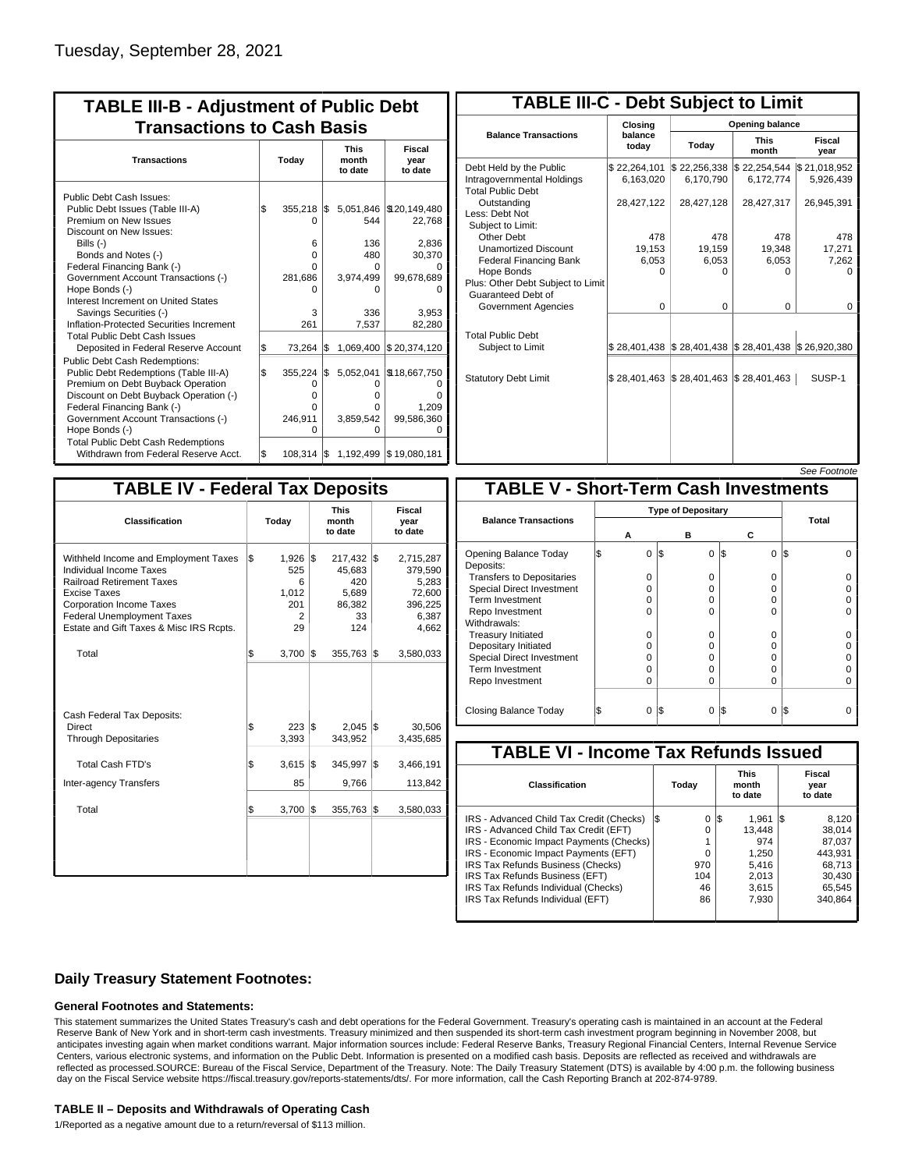| <b>TABLE III-B - Adjustment of Public Debt</b><br><b>Transactions to Cash Basis</b>                                                                                                                                                                                                                                                                      |       |                                                         |     |                                                          |                                                                                             |  |  |  |  |
|----------------------------------------------------------------------------------------------------------------------------------------------------------------------------------------------------------------------------------------------------------------------------------------------------------------------------------------------------------|-------|---------------------------------------------------------|-----|----------------------------------------------------------|---------------------------------------------------------------------------------------------|--|--|--|--|
| <b>Transactions</b>                                                                                                                                                                                                                                                                                                                                      | Today |                                                         |     | <b>This</b><br>month<br>to date                          | <b>Fiscal</b><br>year<br>to date                                                            |  |  |  |  |
| Public Debt Cash Issues:<br>Public Debt Issues (Table III-A)<br>Premium on New Issues<br>Discount on New Issues:<br>Bills (-)<br>Bonds and Notes (-)<br>Federal Financing Bank (-)<br>Government Account Transactions (-)<br>Hope Bonds (-)<br>Interest Increment on United States<br>Savings Securities (-)<br>Inflation-Protected Securities Increment | \$    | 355,218<br>O<br>6<br>0<br>0<br>281,686<br>o<br>3<br>261 | 1\$ | 544<br>136<br>480<br>0<br>3,974,499<br>o<br>336<br>7,537 | 5,051,846   \$20,149,480<br>22,768<br>2,836<br>30,370<br>99,678,689<br>O<br>3.953<br>82,280 |  |  |  |  |
| <b>Total Public Debt Cash Issues</b><br>Deposited in Federal Reserve Account<br><b>Public Debt Cash Redemptions:</b>                                                                                                                                                                                                                                     | \$    | 73,264                                                  | l\$ | 1,069,400                                                | \$20,374,120                                                                                |  |  |  |  |
| Public Debt Redemptions (Table III-A)<br>Premium on Debt Buyback Operation<br>Discount on Debt Buyback Operation (-)<br>Federal Financing Bank (-)<br>Government Account Transactions (-)<br>Hope Bonds (-)<br><b>Total Public Debt Cash Redemptions</b>                                                                                                 | l\$   | 355,224<br>0<br>$\Omega$<br>0<br>246,911<br>$\Omega$    | l\$ | 5,052,041<br>0<br>o<br>O<br>3,859,542<br>O               | \$18,667,750<br>ი<br>0<br>1.209<br>99,586,360<br>O                                          |  |  |  |  |
| Withdrawn from Federal Reserve Acct.                                                                                                                                                                                                                                                                                                                     | l\$   | $108,314$ $\sqrt{\$}$                                   |     |                                                          | 1,192,499 \$19,080,181                                                                      |  |  |  |  |

| <b>TABLE III-C - Debt Subject to Limit</b>                                        |                             |                                                                                                     |                           |                           |  |  |  |  |  |  |
|-----------------------------------------------------------------------------------|-----------------------------|-----------------------------------------------------------------------------------------------------|---------------------------|---------------------------|--|--|--|--|--|--|
|                                                                                   | Closing                     | Opening balance                                                                                     |                           |                           |  |  |  |  |  |  |
| <b>Balance Transactions</b>                                                       | balance<br>todav            | Today                                                                                               | <b>This</b><br>month      | Fiscal<br>year            |  |  |  |  |  |  |
| Debt Held by the Public<br>Intragovernmental Holdings<br><b>Total Public Debt</b> | \$22,264,101<br>6,163,020   | \$22,256,338<br>6.170.790                                                                           | \$22,254,544<br>6,172,774 | \$21,018,952<br>5,926,439 |  |  |  |  |  |  |
| Outstanding<br>Less: Debt Not<br>Subject to Limit:                                | 28,427,122                  | 28,427,128                                                                                          | 28,427,317                | 26,945,391                |  |  |  |  |  |  |
| Other Debt                                                                        | 478                         | 478                                                                                                 | 478                       | 478                       |  |  |  |  |  |  |
| <b>Unamortized Discount</b>                                                       | 19,153                      | 19,159                                                                                              | 19,348                    | 17,271                    |  |  |  |  |  |  |
| <b>Federal Financing Bank</b>                                                     | 6,053                       | 6,053                                                                                               | 6,053                     | 7,262                     |  |  |  |  |  |  |
| Hope Bonds<br>Plus: Other Debt Subject to Limit<br>Guaranteed Debt of             | 0                           | 0                                                                                                   | 0                         | o                         |  |  |  |  |  |  |
| Government Agencies                                                               | $\Omega$                    | $\Omega$                                                                                            | $\Omega$                  | 0                         |  |  |  |  |  |  |
| <b>Total Public Debt</b><br>Subject to Limit                                      |                             | $\frac{1}{2}$ 28,401,438 $\frac{1}{2}$ 28,401,438 $\frac{1}{2}$ 28,401,438 $\frac{1}{2}$ 26,920,380 |                           |                           |  |  |  |  |  |  |
| <b>Statutory Debt Limit</b>                                                       | $$28,401,463$ $$28,401,463$ |                                                                                                     | $\$\,28,401,463$          | SUSP-1                    |  |  |  |  |  |  |
|                                                                                   |                             |                                                                                                     |                           |                           |  |  |  |  |  |  |

| See Footnote |
|--------------|
|--------------|

| <b>TABLE IV - Federal Tax Deposits</b>                                                                                                                                                                                                        |    |                                                           |     |                                                               |     |                                                                      |  |  |  |
|-----------------------------------------------------------------------------------------------------------------------------------------------------------------------------------------------------------------------------------------------|----|-----------------------------------------------------------|-----|---------------------------------------------------------------|-----|----------------------------------------------------------------------|--|--|--|
| Classification                                                                                                                                                                                                                                |    | Today                                                     |     | <b>This</b><br>month<br>to date                               |     | Fiscal<br>year<br>to date                                            |  |  |  |
| Withheld Income and Employment Taxes<br>Individual Income Taxes<br><b>Railroad Retirement Taxes</b><br><b>Excise Taxes</b><br><b>Corporation Income Taxes</b><br><b>Federal Unemployment Taxes</b><br>Estate and Gift Taxes & Misc IRS Rcpts. | \$ | 1,926<br>525<br>6<br>1,012<br>201<br>$\overline{2}$<br>29 | 1\$ | $217,432$ \$<br>45,683<br>420<br>5,689<br>86,382<br>33<br>124 |     | 2,715,287<br>379,590<br>5,283<br>72,600<br>396,225<br>6,387<br>4,662 |  |  |  |
| Total                                                                                                                                                                                                                                         | \$ | $3,700$ $\sqrt{5}$                                        |     | 355,763                                                       | 1\$ | 3,580,033                                                            |  |  |  |
| Cash Federal Tax Deposits:<br><b>Direct</b><br><b>Through Depositaries</b>                                                                                                                                                                    | \$ | $223$ \$<br>3,393                                         |     | $2,045$ \$<br>343,952                                         |     | 30,506<br>3,435,685                                                  |  |  |  |
| Total Cash FTD's                                                                                                                                                                                                                              | \$ | 3,615                                                     | 1\$ | 345,997                                                       | 1\$ | 3,466,191                                                            |  |  |  |
| <b>Inter-agency Transfers</b>                                                                                                                                                                                                                 |    | 85                                                        |     | 9,766                                                         |     | 113,842                                                              |  |  |  |
| Total                                                                                                                                                                                                                                         | \$ | 3,700                                                     | İ\$ | 355,763                                                       | l\$ | 3,580,033                                                            |  |  |  |
|                                                                                                                                                                                                                                               |    |                                                           |     |                                                               |     |                                                                      |  |  |  |

|                                              |  |          |     |                           |          | <i>See Footnote</i> |  |  |  |
|----------------------------------------------|--|----------|-----|---------------------------|----------|---------------------|--|--|--|
| <b>TABLE V - Short-Term Cash Investments</b> |  |          |     |                           |          |                     |  |  |  |
|                                              |  |          |     | <b>Type of Depositary</b> |          |                     |  |  |  |
| <b>Balance Transactions</b>                  |  | А        |     | в                         | c        | Total               |  |  |  |
| Opening Balance Today<br>Deposits:           |  | $\Omega$ | 1\$ | $\Omega$                  | 0<br>1\$ | I\$                 |  |  |  |
| <b>Transfers to Depositaries</b>             |  | O        |     | 0                         | 0        |                     |  |  |  |
| <b>Special Direct Investment</b>             |  | O        |     | 0                         | O        |                     |  |  |  |
| Term Investment                              |  | O        |     | 0                         | O        |                     |  |  |  |
| Repo Investment                              |  | O        |     | 0                         | 0        |                     |  |  |  |
| Withdrawals:                                 |  |          |     |                           |          |                     |  |  |  |
| <b>Treasury Initiated</b>                    |  | O        |     | 0                         | O        |                     |  |  |  |
| Depositary Initiated                         |  | 0        |     | 0                         | O        |                     |  |  |  |
| <b>Special Direct Investment</b>             |  | Ω        |     | 0                         | 0        |                     |  |  |  |
| <b>Term Investment</b>                       |  | O        |     | 0                         | 0        |                     |  |  |  |
| Repo Investment                              |  | 0        |     | $\Omega$                  | O        |                     |  |  |  |
| Closing Balance Today                        |  | 0        | l\$ | 0                         | I\$<br>0 | I\$                 |  |  |  |

| <b>TABLE VI - Income Tax Refunds Issued</b> |       |                                 |        |  |                           |  |  |  |  |  |
|---------------------------------------------|-------|---------------------------------|--------|--|---------------------------|--|--|--|--|--|
|                                             | Today | <b>This</b><br>month<br>to date |        |  | Fiscal<br>year<br>to date |  |  |  |  |  |
| I\$                                         | 0     |                                 | 1.961  |  | 8.120                     |  |  |  |  |  |
|                                             | 0     |                                 | 13.448 |  | 38.014                    |  |  |  |  |  |
|                                             |       |                                 | 974    |  | 87.037                    |  |  |  |  |  |
|                                             | 0     |                                 | 1.250  |  | 443.931                   |  |  |  |  |  |
|                                             | 970   |                                 | 5.416  |  | 68.713                    |  |  |  |  |  |
|                                             | 104   |                                 | 2.013  |  | 30,430                    |  |  |  |  |  |
|                                             | 46    |                                 | 3.615  |  | 65.545                    |  |  |  |  |  |
|                                             | 86    |                                 | 7.930  |  | 340,864                   |  |  |  |  |  |
|                                             |       |                                 | 1\$    |  | IS.                       |  |  |  |  |  |

### **Daily Treasury Statement Footnotes:**

#### **General Footnotes and Statements:**

This statement summarizes the United States Treasury's cash and debt operations for the Federal Government. Treasury's operating cash is maintained in an account at the Federal Reserve Bank of New York and in short-term cash investments. Treasury minimized and then suspended its short-term cash investment program beginning in November 2008, but anticipates investing again when market conditions warrant. Major information sources include: Federal Reserve Banks, Treasury Regional Financial Centers, Internal Revenue Service Centers, various electronic systems, and information on the Public Debt. Information is presented on a modified cash basis. Deposits are reflected as received and withdrawals are reflected as processed.SOURCE: Bureau of the Fiscal Service, Department of the Treasury. Note: The Daily Treasury Statement (DTS) is available by 4:00 p.m. the following business day on the Fiscal Service website https://fiscal.treasury.gov/reports-statements/dts/. For more information, call the Cash Reporting Branch at 202-874-9789.

#### **TABLE II – Deposits and Withdrawals of Operating Cash**

1/Reported as a negative amount due to a return/reversal of \$113 million.